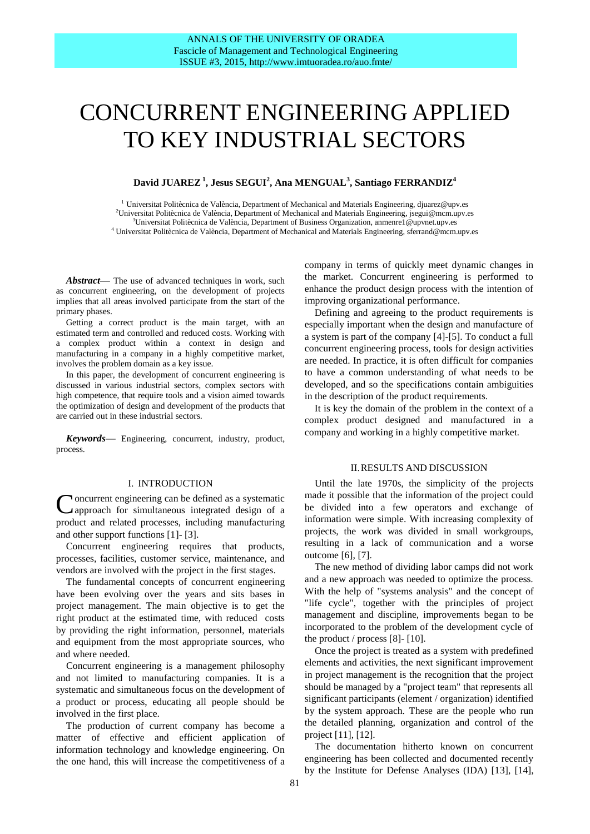# CONCURRENT ENGINEERING APPLIED TO KEY INDUSTRIAL SECTORS

# **David JUAREZ<sup>1</sup> , Jesus SEGUI<sup>2</sup> , Ana MENGUAL<sup>3</sup> , Santiago FERRANDIZ<sup>4</sup>**

 $^1$ Universitat Politècnica de València, Department of Mechanical and Materials Engineering, djuarez@upv.es Universitat Politècnica de València, Department of Mechanical and Materials Engineering, jsegui@mcm.upv.es Universitat Politècnica de València, Department of Business Organization, anmenre1@upvnet.upv.es Universitat Politècnica de València, Department of Mechanical and Materials Engineering, sferrand@mcm.upv.es

*Abstract***—** The use of advanced techniques in work, such as concurrent engineering, on the development of projects implies that all areas involved participate from the start of the primary phases.

Getting a correct product is the main target, with an estimated term and controlled and reduced costs. Working with a complex product within a context in design and manufacturing in a company in a highly competitive market, involves the problem domain as a key issue.

In this paper, the development of concurrent engineering is discussed in various industrial sectors, complex sectors with high competence, that require tools and a vision aimed towards the optimization of design and development of the products that are carried out in these industrial sectors.

*Keywords***—** Engineering, concurrent, industry, product, process.

#### I. INTRODUCTION

Concurrent engineering can be defined as a systematic approach for simultaneous integrated design of a approach for simultaneous integrated design of a product and related processes, including manufacturing and other support functions [1]- [3].

Concurrent engineering requires that products, processes, facilities, customer service, maintenance, and vendors are involved with the project in the first stages.

The fundamental concepts of concurrent engineering have been evolving over the years and sits bases in project management. The main objective is to get the right product at the estimated time, with reduced costs by providing the right information, personnel, materials and equipment from the most appropriate sources, who and where needed.

Concurrent engineering is a management philosophy and not limited to manufacturing companies. It is a systematic and simultaneous focus on the development of a product or process, educating all people should be involved in the first place.

The production of current company has become a matter of effective and efficient application of information technology and knowledge engineering. On the one hand, this will increase the competitiveness of a

company in terms of quickly meet dynamic changes in the market. Concurrent engineering is performed to enhance the product design process with the intention of improving organizational performance.

Defining and agreeing to the product requirements is especially important when the design and manufacture of a system is part of the company [4]-[5]. To conduct a full concurrent engineering process, tools for design activities are needed. In practice, it is often difficult for companies to have a common understanding of what needs to be developed, and so the specifications contain ambiguities in the description of the product requirements.

It is key the domain of the problem in the context of a complex product designed and manufactured in a company and working in a highly competitive market.

## II.RESULTS AND DISCUSSION

Until the late 1970s, the simplicity of the projects made it possible that the information of the project could be divided into a few operators and exchange of information were simple. With increasing complexity of projects, the work was divided in small workgroups, resulting in a lack of communication and a worse outcome [6], [7].

The new method of dividing labor camps did not work and a new approach was needed to optimize the process. With the help of "systems analysis" and the concept of "life cycle", together with the principles of project management and discipline, improvements began to be incorporated to the problem of the development cycle of the product  $/$  process [8]- [10].

Once the project is treated as a system with predefined elements and activities, the next significant improvement in project management is the recognition that the project should be managed by a "project team" that represents all significant participants (element / organization) identified by the system approach. These are the people who run the detailed planning, organization and control of the project [11], [12].

The documentation hitherto known on concurrent engineering has been collected and documented recently by the Institute for Defense Analyses (IDA) [13], [14],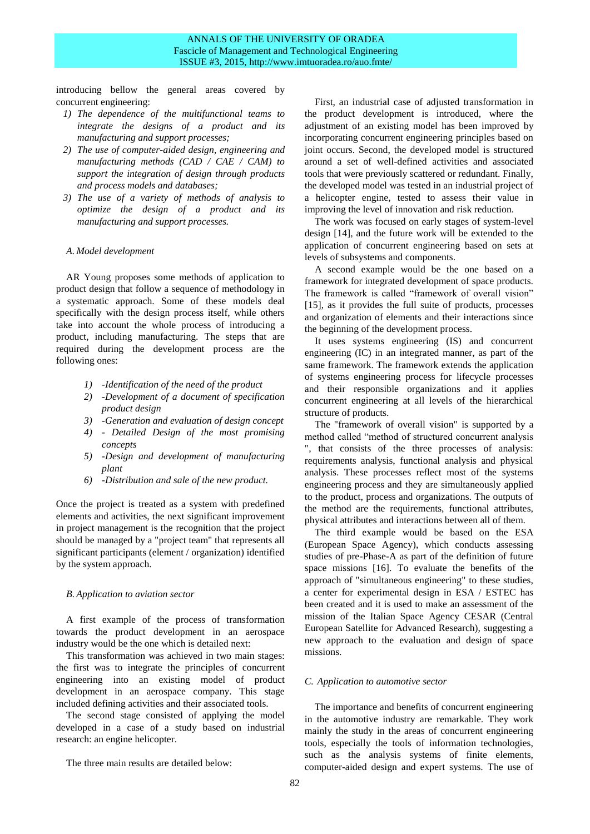## ANNALS OF THE UNIVERSITY OF ORADEA Fascicle of Management and Technological Engineering ISSUE #3, 2015, http://www.imtuoradea.ro/auo.fmte/

introducing bellow the general areas covered by concurrent engineering:

- *1) The dependence of the multifunctional teams to integrate the designs of a product and its manufacturing and support processes;*
- *2) The use of computer-aided design, engineering and manufacturing methods (CAD / CAE / CAM) to support the integration of design through products and process models and databases;*
- *3) The use of a variety of methods of analysis to optimize the design of a product and its manufacturing and support processes.*

#### *A. Model development*

AR Young proposes some methods of application to product design that follow a sequence of methodology in a systematic approach. Some of these models deal specifically with the design process itself, while others take into account the whole process of introducing a product, including manufacturing. The steps that are required during the development process are the following ones:

- *1) -Identification of the need of the product*
- *2) -Development of a document of specification product design*
- *3) -Generation and evaluation of design concept*
- *4) - Detailed Design of the most promising concepts*
- *5) -Design and development of manufacturing plant*
- *6) -Distribution and sale of the new product.*

Once the project is treated as a system with predefined elements and activities, the next significant improvement in project management is the recognition that the project should be managed by a "project team" that represents all significant participants (element / organization) identified by the system approach.

## *B. Application to aviation sector*

A first example of the process of transformation towards the product development in an aerospace industry would be the one which is detailed next:

This transformation was achieved in two main stages: the first was to integrate the principles of concurrent engineering into an existing model of product development in an aerospace company. This stage included defining activities and their associated tools.

The second stage consisted of applying the model developed in a case of a study based on industrial research: an engine helicopter.

The three main results are detailed below:

First, an industrial case of adjusted transformation in the product development is introduced, where the adjustment of an existing model has been improved by incorporating concurrent engineering principles based on joint occurs. Second, the developed model is structured around a set of well-defined activities and associated tools that were previously scattered or redundant. Finally, the developed model was tested in an industrial project of a helicopter engine, tested to assess their value in improving the level of innovation and risk reduction.

The work was focused on early stages of system-level design [14], and the future work will be extended to the application of concurrent engineering based on sets at levels of subsystems and components.

A second example would be the one based on a framework for integrated development of space products. The framework is called "framework of overall vision" [15], as it provides the full suite of products, processes and organization of elements and their interactions since the beginning of the development process.

It uses systems engineering (IS) and concurrent engineering (IC) in an integrated manner, as part of the same framework. The framework extends the application of systems engineering process for lifecycle processes and their responsible organizations and it applies concurrent engineering at all levels of the hierarchical structure of products.

The "framework of overall vision" is supported by a method called "method of structured concurrent analysis ", that consists of the three processes of analysis: requirements analysis, functional analysis and physical analysis. These processes reflect most of the systems engineering process and they are simultaneously applied to the product, process and organizations. The outputs of the method are the requirements, functional attributes, physical attributes and interactions between all of them.

The third example would be based on the ESA (European Space Agency), which conducts assessing studies of pre-Phase-A as part of the definition of future space missions [16]. To evaluate the benefits of the approach of "simultaneous engineering" to these studies, a center for experimental design in ESA / ESTEC has been created and it is used to make an assessment of the mission of the Italian Space Agency CESAR (Central European Satellite for Advanced Research), suggesting a new approach to the evaluation and design of space missions.

### *C. Application to automotive sector*

The importance and benefits of concurrent engineering in the automotive industry are remarkable. They work mainly the study in the areas of concurrent engineering tools, especially the tools of information technologies, such as the analysis systems of finite elements, computer-aided design and expert systems. The use of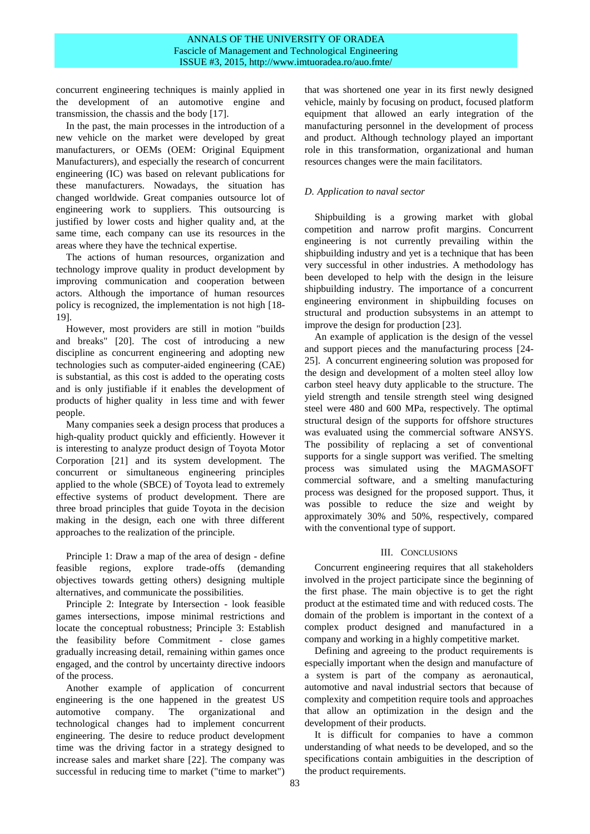concurrent engineering techniques is mainly applied in the development of an automotive engine and transmission, the chassis and the body [17].

In the past, the main processes in the introduction of a new vehicle on the market were developed by great manufacturers, or OEMs (OEM: Original Equipment Manufacturers), and especially the research of concurrent engineering (IC) was based on relevant publications for these manufacturers. Nowadays, the situation has changed worldwide. Great companies outsource lot of engineering work to suppliers. This outsourcing is justified by lower costs and higher quality and, at the same time, each company can use its resources in the areas where they have the technical expertise.

The actions of human resources, organization and technology improve quality in product development by improving communication and cooperation between actors. Although the importance of human resources policy is recognized, the implementation is not high [18- 19].

However, most providers are still in motion "builds and breaks" [20]. The cost of introducing a new discipline as concurrent engineering and adopting new technologies such as computer-aided engineering (CAE) is substantial, as this cost is added to the operating costs and is only justifiable if it enables the development of products of higher quality in less time and with fewer people.

Many companies seek a design process that produces a high-quality product quickly and efficiently. However it is interesting to analyze product design of Toyota Motor Corporation [21] and its system development. The concurrent or simultaneous engineering principles applied to the whole (SBCE) of Toyota lead to extremely effective systems of product development. There are three broad principles that guide Toyota in the decision making in the design, each one with three different approaches to the realization of the principle.

Principle 1: Draw a map of the area of design - define feasible regions, explore trade-offs (demanding objectives towards getting others) designing multiple alternatives, and communicate the possibilities.

Principle 2: Integrate by Intersection - look feasible games intersections, impose minimal restrictions and locate the conceptual robustness; Principle 3: Establish the feasibility before Commitment - close games gradually increasing detail, remaining within games once engaged, and the control by uncertainty directive indoors of the process.

Another example of application of concurrent engineering is the one happened in the greatest US automotive company. The organizational and technological changes had to implement concurrent engineering. The desire to reduce product development time was the driving factor in a strategy designed to increase sales and market share [22]. The company was successful in reducing time to market ("time to market") that was shortened one year in its first newly designed vehicle, mainly by focusing on product, focused platform equipment that allowed an early integration of the manufacturing personnel in the development of process and product. Although technology played an important role in this transformation, organizational and human resources changes were the main facilitators.

## *D. Application to naval sector*

Shipbuilding is a growing market with global competition and narrow profit margins. Concurrent engineering is not currently prevailing within the shipbuilding industry and yet is a technique that has been very successful in other industries. A methodology has been developed to help with the design in the leisure shipbuilding industry. The importance of a concurrent engineering environment in shipbuilding focuses on structural and production subsystems in an attempt to improve the design for production [23].

An example of application is the design of the vessel and support pieces and the manufacturing process [24- 25]. A concurrent engineering solution was proposed for the design and development of a molten steel alloy low carbon steel heavy duty applicable to the structure. The yield strength and tensile strength steel wing designed steel were 480 and 600 MPa, respectively. The optimal structural design of the supports for offshore structures was evaluated using the commercial software ANSYS. The possibility of replacing a set of conventional supports for a single support was verified. The smelting process was simulated using the MAGMASOFT commercial software, and a smelting manufacturing process was designed for the proposed support. Thus, it was possible to reduce the size and weight by approximately 30% and 50%, respectively, compared with the conventional type of support.

## III. CONCLUSIONS

Concurrent engineering requires that all stakeholders involved in the project participate since the beginning of the first phase. The main objective is to get the right product at the estimated time and with reduced costs. The domain of the problem is important in the context of a complex product designed and manufactured in a company and working in a highly competitive market.

Defining and agreeing to the product requirements is especially important when the design and manufacture of a system is part of the company as aeronautical, automotive and naval industrial sectors that because of complexity and competition require tools and approaches that allow an optimization in the design and the development of their products.

It is difficult for companies to have a common understanding of what needs to be developed, and so the specifications contain ambiguities in the description of the product requirements.